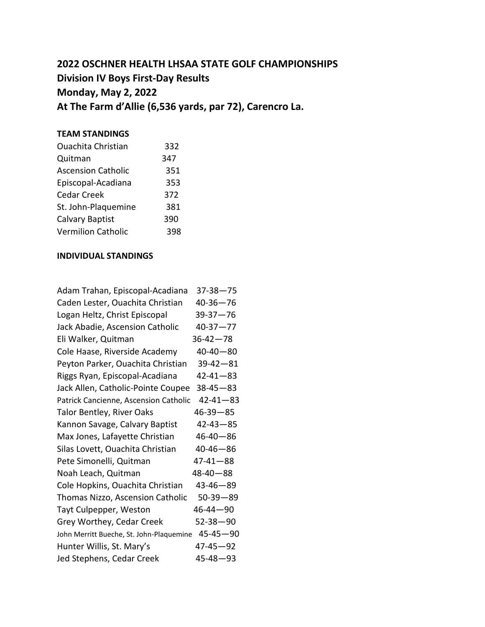## **2022 OSCHNER HEALTH LHSAA STATE GOLF CHAMPIONSHIPS Division IV Boys First-Day Results Monday, May 2, 2022 At The Farm d'Allie (6,536 yards, par 72), Carencro La.**

## **TEAM STANDINGS**

| <b>Ouachita Christian</b> | 332 |
|---------------------------|-----|
| Quitman                   | 347 |
| <b>Ascension Catholic</b> | 351 |
| Episcopal-Acadiana        | 353 |
| <b>Cedar Creek</b>        | 372 |
| St. John-Plaquemine       | 381 |
| <b>Calvary Baptist</b>    | 390 |
| <b>Vermilion Catholic</b> | 398 |

## **INDIVIDUAL STANDINGS**

| Adam Trahan, Episcopal-Acadiana          | $37 - 38 - 75$ |
|------------------------------------------|----------------|
| Caden Lester, Ouachita Christian         | $40 - 36 - 76$ |
| Logan Heltz, Christ Episcopal            | $39 - 37 - 76$ |
| Jack Abadie, Ascension Catholic          | $40 - 37 - 77$ |
| Eli Walker, Quitman                      | $36 - 42 - 78$ |
| Cole Haase, Riverside Academy            | $40 - 40 - 80$ |
| Peyton Parker, Ouachita Christian        | $39 - 42 - 81$ |
| Riggs Ryan, Episcopal-Acadiana           | $42 - 41 - 83$ |
| Jack Allen, Catholic-Pointe Coupee       | $38 - 45 - 83$ |
| Patrick Cancienne, Ascension Catholic    | $42 - 41 - 83$ |
| <b>Talor Bentley, River Oaks</b>         | $46 - 39 - 85$ |
| Kannon Savage, Calvary Baptist           | $42 - 43 - 85$ |
| Max Jones, Lafayette Christian           | $46 - 40 - 86$ |
| Silas Lovett, Ouachita Christian         | $40 - 46 - 86$ |
| Pete Simonelli, Quitman                  | $47 - 41 - 88$ |
| Noah Leach, Quitman                      | $48 - 40 - 88$ |
| Cole Hopkins, Ouachita Christian         | $43 - 46 - 89$ |
| Thomas Nizzo, Ascension Catholic         | $50 - 39 - 89$ |
| Tayt Culpepper, Weston                   | $46 - 44 - 90$ |
| Grey Worthey, Cedar Creek                | $52 - 38 - 90$ |
| John Merritt Bueche, St. John-Plaquemine | $45 - 45 - 90$ |
| Hunter Willis, St. Mary's                | $47 - 45 - 92$ |
| Jed Stephens, Cedar Creek                | $45 - 48 - 93$ |